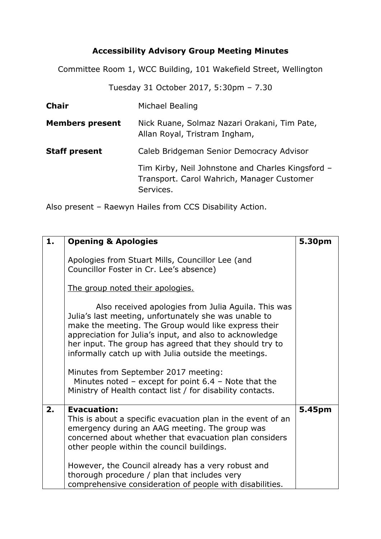## **Accessibility Advisory Group Meeting Minutes**

Committee Room 1, WCC Building, 101 Wakefield Street, Wellington

Tuesday 31 October 2017, 5:30pm – 7.30

| <b>Chair</b>           | Michael Bealing                                                                                              |
|------------------------|--------------------------------------------------------------------------------------------------------------|
| <b>Members present</b> | Nick Ruane, Solmaz Nazari Orakani, Tim Pate,<br>Allan Royal, Tristram Ingham,                                |
| <b>Staff present</b>   | Caleb Bridgeman Senior Democracy Advisor                                                                     |
|                        | Tim Kirby, Neil Johnstone and Charles Kingsford -<br>Transport. Carol Wahrich, Manager Customer<br>Services. |

Also present – Raewyn Hailes from CCS Disability Action.

| 1. | <b>Opening &amp; Apologies</b>                                                                                                                                                                                                                                                                                                                                                                                                                                                                                       | 5.30pm |
|----|----------------------------------------------------------------------------------------------------------------------------------------------------------------------------------------------------------------------------------------------------------------------------------------------------------------------------------------------------------------------------------------------------------------------------------------------------------------------------------------------------------------------|--------|
|    | Apologies from Stuart Mills, Councillor Lee (and<br>Councillor Foster in Cr. Lee's absence)                                                                                                                                                                                                                                                                                                                                                                                                                          |        |
|    | The group noted their apologies.                                                                                                                                                                                                                                                                                                                                                                                                                                                                                     |        |
|    | Also received apologies from Julia Aguila. This was<br>Julia's last meeting, unfortunately she was unable to<br>make the meeting. The Group would like express their<br>appreciation for Julia's input, and also to acknowledge<br>her input. The group has agreed that they should try to<br>informally catch up with Julia outside the meetings.<br>Minutes from September 2017 meeting:<br>Minutes noted $-$ except for point 6.4 $-$ Note that the<br>Ministry of Health contact list / for disability contacts. |        |
| 2. | <b>Evacuation:</b><br>This is about a specific evacuation plan in the event of an<br>emergency during an AAG meeting. The group was<br>concerned about whether that evacuation plan considers<br>other people within the council buildings.<br>However, the Council already has a very robust and                                                                                                                                                                                                                    | 5.45pm |
|    | thorough procedure / plan that includes very<br>comprehensive consideration of people with disabilities.                                                                                                                                                                                                                                                                                                                                                                                                             |        |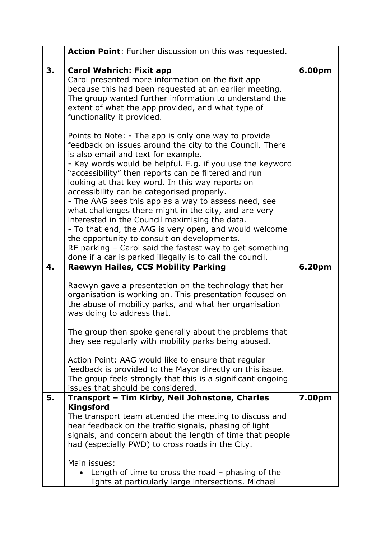|    | Action Point: Further discussion on this was requested.                                                                                                                                                                                                                                                                                                                                                                                                                                                                                                                                                                                                                                                                                                                             |        |
|----|-------------------------------------------------------------------------------------------------------------------------------------------------------------------------------------------------------------------------------------------------------------------------------------------------------------------------------------------------------------------------------------------------------------------------------------------------------------------------------------------------------------------------------------------------------------------------------------------------------------------------------------------------------------------------------------------------------------------------------------------------------------------------------------|--------|
| 3. | <b>Carol Wahrich: Fixit app</b><br>Carol presented more information on the fixit app<br>because this had been requested at an earlier meeting.<br>The group wanted further information to understand the<br>extent of what the app provided, and what type of<br>functionality it provided.                                                                                                                                                                                                                                                                                                                                                                                                                                                                                         | 6.00pm |
|    | Points to Note: - The app is only one way to provide<br>feedback on issues around the city to the Council. There<br>is also email and text for example.<br>- Key words would be helpful. E.g. if you use the keyword<br>"accessibility" then reports can be filtered and run<br>looking at that key word. In this way reports on<br>accessibility can be categorised properly.<br>- The AAG sees this app as a way to assess need, see<br>what challenges there might in the city, and are very<br>interested in the Council maximising the data.<br>- To that end, the AAG is very open, and would welcome<br>the opportunity to consult on developments.<br>RE parking - Carol said the fastest way to get something<br>done if a car is parked illegally is to call the council. |        |
| 4. | <b>Raewyn Hailes, CCS Mobility Parking</b>                                                                                                                                                                                                                                                                                                                                                                                                                                                                                                                                                                                                                                                                                                                                          | 6.20pm |
|    | Raewyn gave a presentation on the technology that her<br>organisation is working on. This presentation focused on<br>the abuse of mobility parks, and what her organisation<br>was doing to address that.                                                                                                                                                                                                                                                                                                                                                                                                                                                                                                                                                                           |        |
|    | The group then spoke generally about the problems that<br>they see regularly with mobility parks being abused.                                                                                                                                                                                                                                                                                                                                                                                                                                                                                                                                                                                                                                                                      |        |
|    | Action Point: AAG would like to ensure that regular<br>feedback is provided to the Mayor directly on this issue.<br>The group feels strongly that this is a significant ongoing<br>issues that should be considered.                                                                                                                                                                                                                                                                                                                                                                                                                                                                                                                                                                |        |
| 5. | Transport - Tim Kirby, Neil Johnstone, Charles<br><b>Kingsford</b>                                                                                                                                                                                                                                                                                                                                                                                                                                                                                                                                                                                                                                                                                                                  | 7.00pm |
|    | The transport team attended the meeting to discuss and<br>hear feedback on the traffic signals, phasing of light<br>signals, and concern about the length of time that people<br>had (especially PWD) to cross roads in the City.                                                                                                                                                                                                                                                                                                                                                                                                                                                                                                                                                   |        |
|    | Main issues:<br>Length of time to cross the road $-$ phasing of the<br>lights at particularly large intersections. Michael                                                                                                                                                                                                                                                                                                                                                                                                                                                                                                                                                                                                                                                          |        |